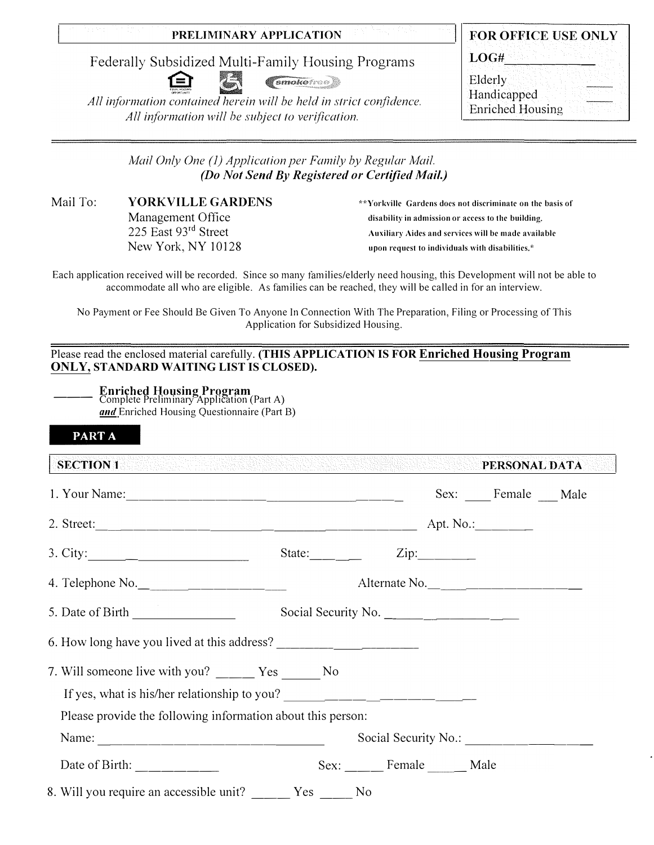### **PRELIMINARY APPLICATION**

Federally Subsidized Multi-Family Housing Programs



*(smokered)* 

*All information contained herein will be held in strict confidence. All information will be subject to verification.* 

| FOR OFFICE USE ONLY                    |
|----------------------------------------|
| LOG#                                   |
| Elderly                                |
| Handicapped<br><b>Enriched Housing</b> |

*Mail Only One (1) Application per Family by Regular Mail. (Do Not Send By Registered or Certified Mail.)* 

Mail To: **YORKVILLE GARDENS**  Management Office 225 East 93rd Street New York, NY 10128

\*\*Yorkville Gardens docs not discriminate on the basis of disability in admission or access to the building. Auxiliary Aides and services will be made available upon request to individuals with disabilities.\*

Each application received will be recorded. Since so many families/elderly need housing, this Development will not be able to accommodate all who are eligible. As families can be reached, they will be called in for an interview.

No Payment or Fee Should Be Given To Anyone In Connection With The Preparation, Filing or Processing of This Application for Subsidized Housing.

Please read the enclosed material carefully. **(THIS APPLICATION IS FOR Enriched Housing Program ONLY, STANDARD WAITING LIST IS CLOSED).**

| <b>Enriched Housing Program</b><br>Complete Preliminary Application (Part A) |
|------------------------------------------------------------------------------|
|                                                                              |

and Enriched Housing Questionnaire (Part B)

| <b>PARTA</b>                                                                                                                                                                                                                                                                                                                                                                                                          |                |                     |      |                             |  |
|-----------------------------------------------------------------------------------------------------------------------------------------------------------------------------------------------------------------------------------------------------------------------------------------------------------------------------------------------------------------------------------------------------------------------|----------------|---------------------|------|-----------------------------|--|
| SECTION 1 PERSONAL DATA                                                                                                                                                                                                                                                                                                                                                                                               |                |                     |      |                             |  |
|                                                                                                                                                                                                                                                                                                                                                                                                                       |                |                     |      | Sex: _____ Female ____ Male |  |
|                                                                                                                                                                                                                                                                                                                                                                                                                       |                |                     |      |                             |  |
| 3. City: $\qquad \qquad \qquad$                                                                                                                                                                                                                                                                                                                                                                                       | State: _______ |                     | Zip: |                             |  |
| 4. Telephone No.                                                                                                                                                                                                                                                                                                                                                                                                      |                | Alternate No.       |      |                             |  |
|                                                                                                                                                                                                                                                                                                                                                                                                                       |                | Social Security No. |      |                             |  |
|                                                                                                                                                                                                                                                                                                                                                                                                                       |                |                     |      |                             |  |
| 7. Will someone live with you? _____ Yes ______ No                                                                                                                                                                                                                                                                                                                                                                    |                |                     |      |                             |  |
| If yes, what is his/her relationship to you?                                                                                                                                                                                                                                                                                                                                                                          |                |                     |      |                             |  |
| Please provide the following information about this person:                                                                                                                                                                                                                                                                                                                                                           |                |                     |      |                             |  |
|                                                                                                                                                                                                                                                                                                                                                                                                                       |                |                     |      |                             |  |
| Date of Birth: $\frac{1}{\sqrt{1-\frac{1}{\sqrt{1-\frac{1}{\sqrt{1-\frac{1}{\sqrt{1-\frac{1}{\sqrt{1-\frac{1}{\sqrt{1-\frac{1}{\sqrt{1-\frac{1}{\sqrt{1-\frac{1}{\sqrt{1-\frac{1}{\sqrt{1-\frac{1}{\sqrt{1-\frac{1}{\sqrt{1-\frac{1}{\sqrt{1-\frac{1}{\sqrt{1-\frac{1}{\sqrt{1-\frac{1}{\sqrt{1-\frac{1}{\sqrt{1-\frac{1}{\sqrt{1-\frac{1}{\sqrt{1-\frac{1}{\sqrt{1-\frac{1}{\sqrt{1-\frac{1}{\sqrt{1-\frac{1}{\sqrt$ |                | Sex: Female Male    |      |                             |  |
| 8. Will you require an accessible unit?                                                                                                                                                                                                                                                                                                                                                                               | Yes No         |                     |      |                             |  |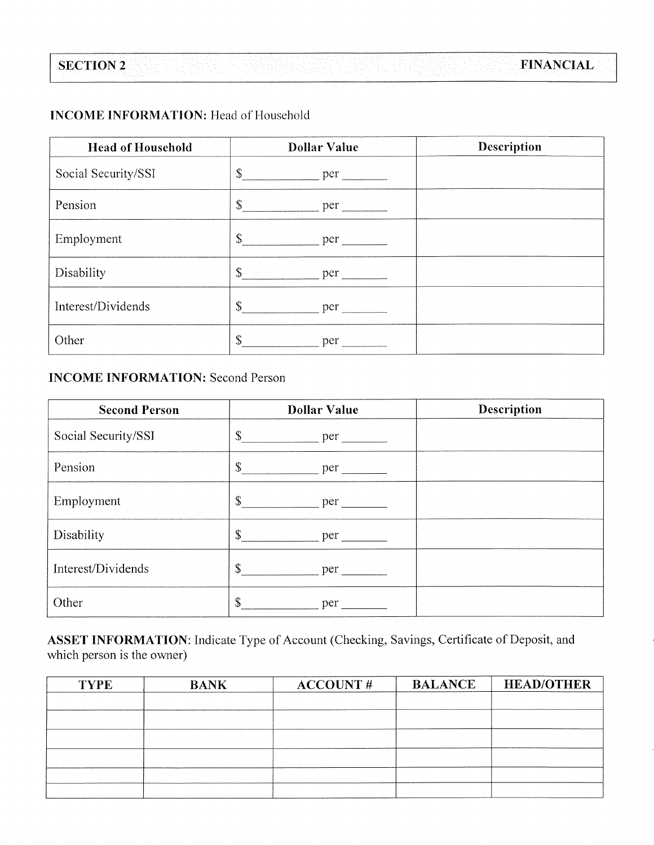### **INCOME INFORMATION:** Head of Household

**SECTION 2** 

| <b>Head of Household</b> | <b>Dollar Value</b>                                                                                                                                                                                                                                                                                                              | Description |
|--------------------------|----------------------------------------------------------------------------------------------------------------------------------------------------------------------------------------------------------------------------------------------------------------------------------------------------------------------------------|-------------|
| Social Security/SSI      | $\mathbb{S}^-$<br>per                                                                                                                                                                                                                                                                                                            |             |
| Pension                  | $\mathbb{S}$<br>per                                                                                                                                                                                                                                                                                                              |             |
| Employment               | $\mathbb{S}$<br>per                                                                                                                                                                                                                                                                                                              |             |
| Disability               | $\mathbb{S}$<br>per                                                                                                                                                                                                                                                                                                              |             |
| Interest/Dividends       | $\mathbb{S}$<br>$per$ — $\qquad$ — $\qquad$ — $\qquad$ — $\qquad$ — $\qquad$ — $\qquad$ — $\qquad$ — $\qquad$ — $\qquad$ — $\qquad$ — $\qquad$ — $\qquad$ — $\qquad$ — $\qquad$ — $\qquad$ — $\qquad$ — $\qquad$ — $\qquad$ — $\qquad$ — $\qquad$ — $\qquad$ — $\qquad$ — $\qquad$ — $\qquad$ — $\qquad$ — $\qquad$ — $\qquad$ — |             |
| Other                    | $\mathbb{S}$<br>per                                                                                                                                                                                                                                                                                                              |             |

### **INCOME INFORMATION: Second Person**

| <b>Second Person</b> | <b>Dollar Value</b>                                                                                                   | <b>Description</b> |
|----------------------|-----------------------------------------------------------------------------------------------------------------------|--------------------|
| Social Security/SSI  | \$<br>per the state of the state of the state of the state of the state of the state of the state of the state of the |                    |
| Pension              | \$<br>per                                                                                                             |                    |
| Employment           | \$<br>per                                                                                                             |                    |
| Disability           | \$                                                                                                                    |                    |
| Interest/Dividends   | $\mathbb{S}$<br>per                                                                                                   |                    |
| Other                | \$<br>per                                                                                                             |                    |

ASSET INFORMATION: Indicate Type of Account (Checking, Savings, Certificate of Deposit, and which person is the owner)

| <b>BANK</b> | <b>ACCOUNT#</b> | <b>HEAD/OTHER</b> |
|-------------|-----------------|-------------------|
|             |                 |                   |
|             |                 |                   |
|             |                 |                   |
|             |                 |                   |
|             |                 |                   |
|             |                 |                   |
|             |                 | <b>BALANCE</b>    |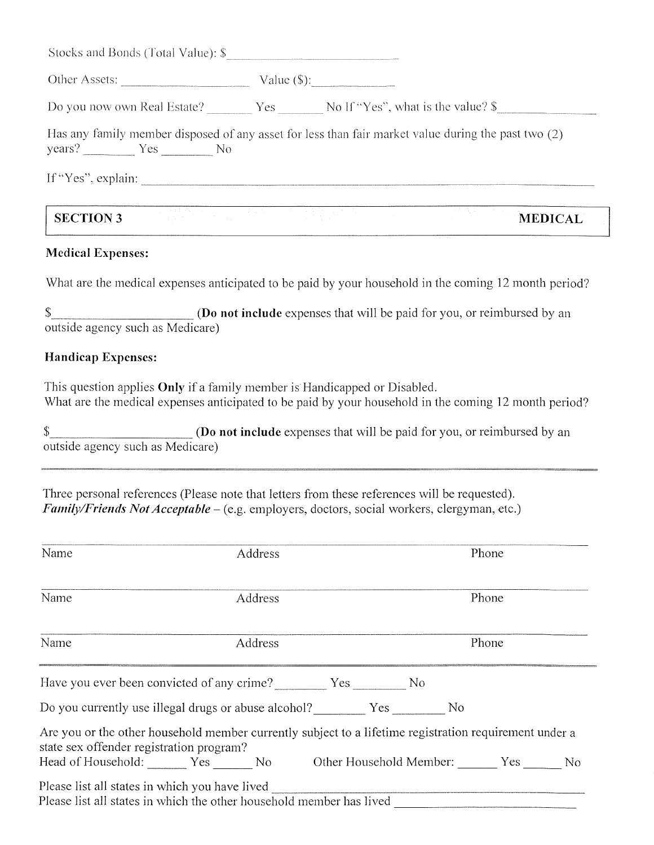| Other Assets:     | Value $(\$)$ :                                                                                      |
|-------------------|-----------------------------------------------------------------------------------------------------|
|                   | Do you now own Real Estate? __________Yes ______________No If "Yes", what is the value? \$          |
|                   |                                                                                                     |
| $years?$ $Yes$ No | Has any family member disposed of any asset for less than fair market value during the past two (2) |

### **Medical Expenses:**

What are the medical expenses anticipated to be paid by your household in the coming 12 month period?

(Do not include expenses that will be paid for you, or reimbursed by an \$ outside agency such as Medicare)

#### **Handicap Expenses:**

This question applies Only if a family member is Handicapped or Disabled. What are the medical expenses anticipated to be paid by your household in the coming 12 month period?

\$ (Do not include expenses that will be paid for you, or reimbursed by an outside agency such as Medicare)

Three personal references (Please note that letters from these references will be requested). *Family/Friends Not Acceptable – (e.g. employers, doctors, social workers, clergyman, etc.)* 

| Phone<br>Phone                                                                                                                                                      |
|---------------------------------------------------------------------------------------------------------------------------------------------------------------------|
|                                                                                                                                                                     |
|                                                                                                                                                                     |
|                                                                                                                                                                     |
|                                                                                                                                                                     |
| Are you or the other household member currently subject to a lifetime registration requirement under a                                                              |
| Head of Household:                  Yes                No            Other Household Member: ______  Yes ____      No                                               |
| Do you currently use illegal drugs or abuse alcohol? Yes No<br>Please list all states in which the other household member has lived _______________________________ |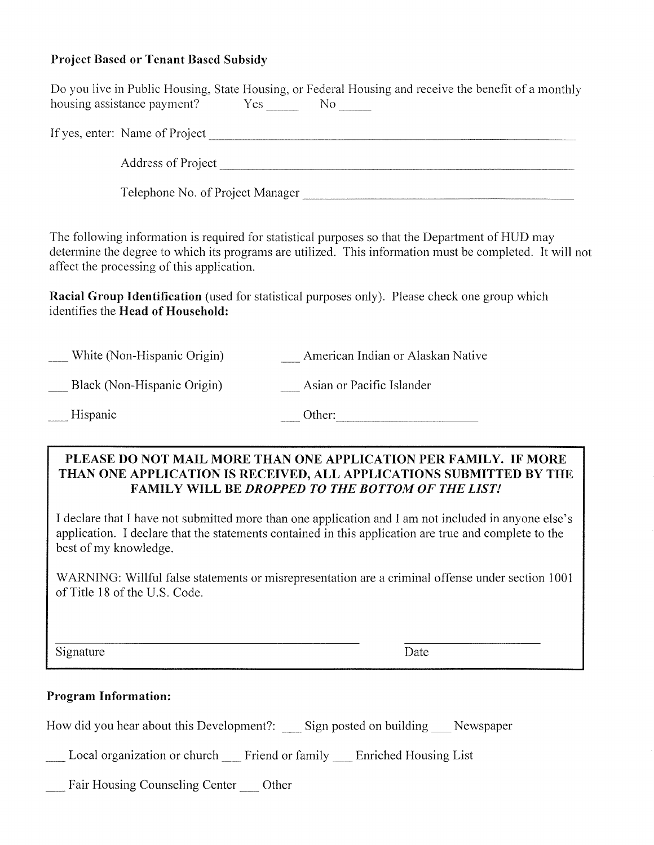### **Project Based or Tenant Based Subsidy**

|                                                                                 | Do you live in Public Housing, State Housing, or Federal Housing and receive the benefit of a monthly                                                                                                                                                                                                                 |
|---------------------------------------------------------------------------------|-----------------------------------------------------------------------------------------------------------------------------------------------------------------------------------------------------------------------------------------------------------------------------------------------------------------------|
|                                                                                 |                                                                                                                                                                                                                                                                                                                       |
|                                                                                 |                                                                                                                                                                                                                                                                                                                       |
|                                                                                 | Telephone No. of Project Manager                                                                                                                                                                                                                                                                                      |
| affect the processing of this application.<br>identifies the Head of Household: | The following information is required for statistical purposes so that the Department of HUD may<br>determine the degree to which its programs are utilized. This information must be completed. It will not<br><b>Racial Group Identification</b> (used for statistical purposes only). Please check one group which |
| __ White (Non-Hispanic Origin)                                                  | <b>Example 21</b> American Indian or Alaskan Native                                                                                                                                                                                                                                                                   |
| Black (Non-Hispanic Origin)                                                     | Asian or Pacific Islander                                                                                                                                                                                                                                                                                             |
| Hispanic                                                                        |                                                                                                                                                                                                                                                                                                                       |
|                                                                                 | PLEASE DO NOT MAIL MORE THAN ONE APPLICATION PER FAMILY. IF MORE<br>THAN ONE APPLICATION IS RECEIVED. ALL APPLICATIONS SURMITTED BY THE                                                                                                                                                                               |

FAMILY WILL BE DROPPED TO THE BOTTOM OF THE LIST!

I declare that I have not submitted more than one application and I am not included in anyone else's application. I declare that the statements contained in this application are true and complete to the best of my knowledge.

WARNING: Willful false statements or misrepresentation are a criminal offense under section 1001 of Title 18 of the U.S. Code.

Signature

Date

#### **Program Information:**

How did you hear about this Development?: \_\_\_ Sign posted on building \_\_\_ Newspaper

Local organization or church \_\_ Friend or family \_\_ Enriched Housing List

Fair Housing Counseling Center \_\_\_ Other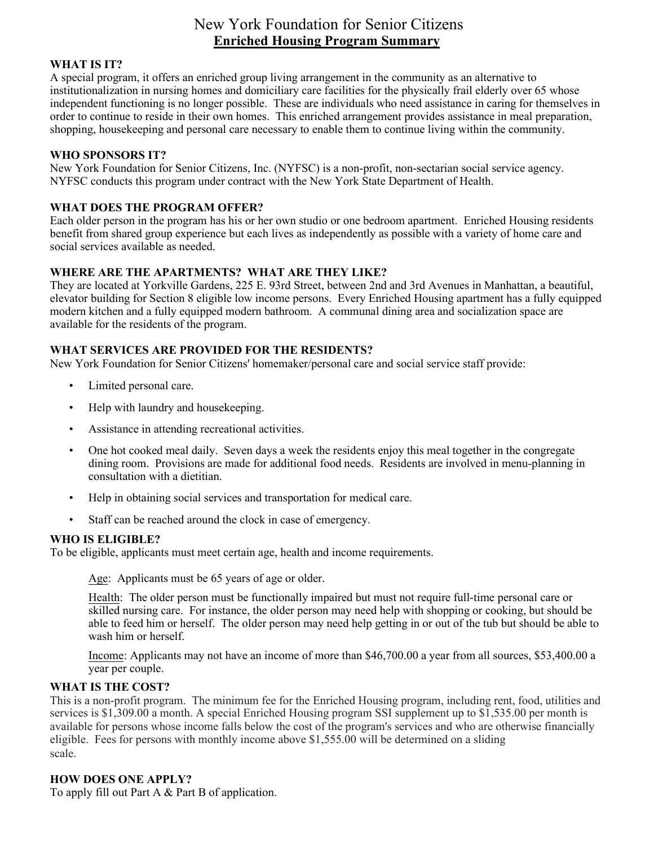## New York Foundation for Senior Citizens **Enriched Housing Program Summary**

#### **WHAT IS IT?**

A special program, it offers an enriched group living arrangement in the community as an alternative to institutionalization in nursing homes and domiciliary care facilities for the physically frail elderly over 65 whose independent functioning is no longer possible. These are individuals who need assistance in caring for themselves in order to continue to reside in their own homes. This enriched arrangement provides assistance in meal preparation, shopping, housekeeping and personal care necessary to enable them to continue living within the community.

#### **WHO SPONSORS IT?**

New York Foundation for Senior Citizens, Inc. (NYFSC) is a non-profit, non-sectarian social service agency. NYFSC conducts this program under contract with the New York State Department of Health.

#### **WHAT DOES THE PROGRAM OFFER?**

Each older person in the program has his or her own studio or one bedroom apartment. Enriched Housing residents benefit from shared group experience but each lives as independently as possible with a variety of home care and social services available as needed.

#### **WHERE ARE THE APARTMENTS? WHAT ARE THEY LIKE?**

They are located at Yorkville Gardens, 225 E. 93rd Street, between 2nd and 3rd Avenues in Manhattan, a beautiful, elevator building for Section 8 eligible low income persons. Every Enriched Housing apartment has a fully equipped modern kitchen and a fully equipped modern bathroom. A communal dining area and socialization space are available for the residents of the program.

#### **WHAT SERVICES ARE PROVIDED FOR THE RESIDENTS?**

New York Foundation for Senior Citizens' homemaker/personal care and social service staff provide:

- Limited personal care.
- Help with laundry and house keeping.
- Assistance in attending recreational activities.
- One hot cooked meal daily. Seven days a week the residents enjoy this meal together in the congregate dining room. Provisions are made for additional food needs. Residents are involved in menu-planning in consultation with a dietitian.
- Help in obtaining social services and transportation for medical care.
- Staff can be reached around the clock in case of emergency.

#### **WHO IS ELIGIBLE?**

To be eligible, applicants must meet certain age, health and income requirements.

Age: Applicants must be 65 years of age or older.

Health: The older person must be functionally impaired but must not require full-time personal care or skilled nursing care. For instance, the older person may need help with shopping or cooking, but should be able to feed him or herself. The older person may need help getting in or out of the tub but should be able to wash him or herself.

Income: Applicants may not have an income of more than \$46,700.00 a year from all sources, \$53,400.00 a year per couple.

#### **WHAT IS THE COST?**

This is a non-profit program. The minimum fee for the Enriched Housing program, including rent, food, utilities and services is \$1,309.00 a month. A special Enriched Housing program SSI supplement up to \$1,535.00 per month is available for persons whose income falls below the cost of the program's services and who are otherwise financially eligible. Fees for persons with monthly income above \$1,555.00 will be determined on a sliding scale.

#### **HOW DOES ONE APPLY?**

To apply fill out Part A & Part B of application.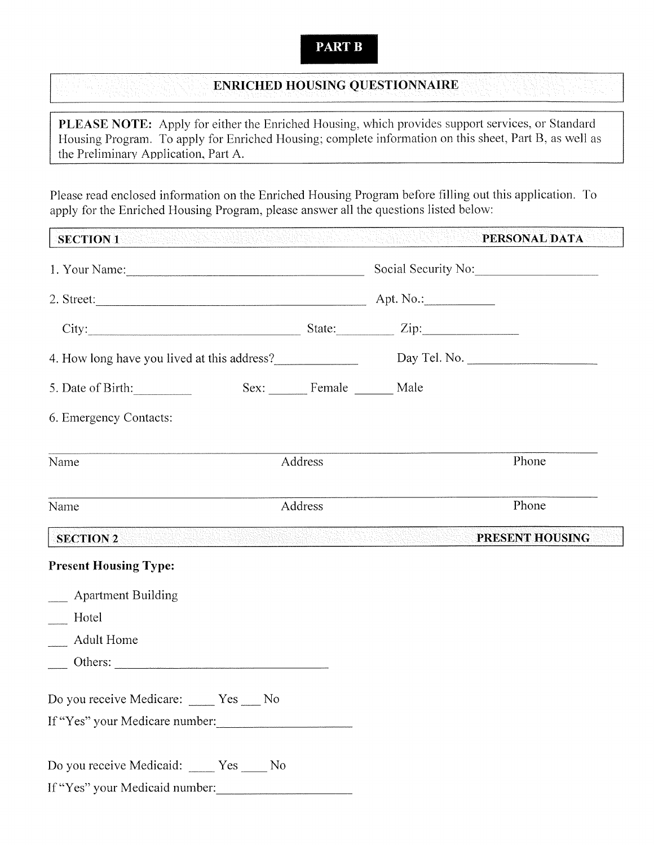### **PART B**

### **ENRICHED HOUSING QUESTIONNAIRE**

PLEASE NOTE: Apply for either the Enriched Housing, which provides support services, or Standard Housing Program. To apply for Enriched Housing; complete information on this sheet, Part B, as well as the Preliminary Application, Part A.

Please read enclosed information on the Enriched Housing Program before filling out this application. To apply for the Enriched Housing Program, please answer all the questions listed below:

| <b>SECTION 1</b><br>ere confidence com a desence desenvanta da a a a confidental. |         |                         | 11424 | <b>PERSONAL DATA</b> |
|-----------------------------------------------------------------------------------|---------|-------------------------|-------|----------------------|
| 1. Your Name: Social Security No: Social Security No:                             |         |                         |       |                      |
|                                                                                   |         |                         |       |                      |
| City: City: City: City: City:                                                     |         |                         |       |                      |
| 4. How long have you lived at this address?<br>Day Tel. No.                       |         |                         |       |                      |
| 5. Date of Birth:                                                                 |         | Sex: Female ______ Male |       |                      |
| 6. Emergency Contacts:                                                            |         |                         |       |                      |
| Name                                                                              |         | Address                 |       | Phone                |
| Name                                                                              | Address |                         |       | Phone                |
| <b>SECTION 2</b>                                                                  |         |                         |       | PRESENT HOUSING      |
| <b>Present Housing Type:</b>                                                      |         |                         |       |                      |
| __ Apartment Building                                                             |         |                         |       |                      |
| Hotel                                                                             |         |                         |       |                      |
| <b>Adult Home</b>                                                                 |         |                         |       |                      |
|                                                                                   |         |                         |       |                      |
| Do you receive Medicare: ____ Yes ___ No                                          |         |                         |       |                      |
| If "Yes" your Medicare number:                                                    |         |                         |       |                      |
| Do you receive Medicaid: ____ Yes ___ No<br>If "Yes" your Medicaid number:        |         |                         |       |                      |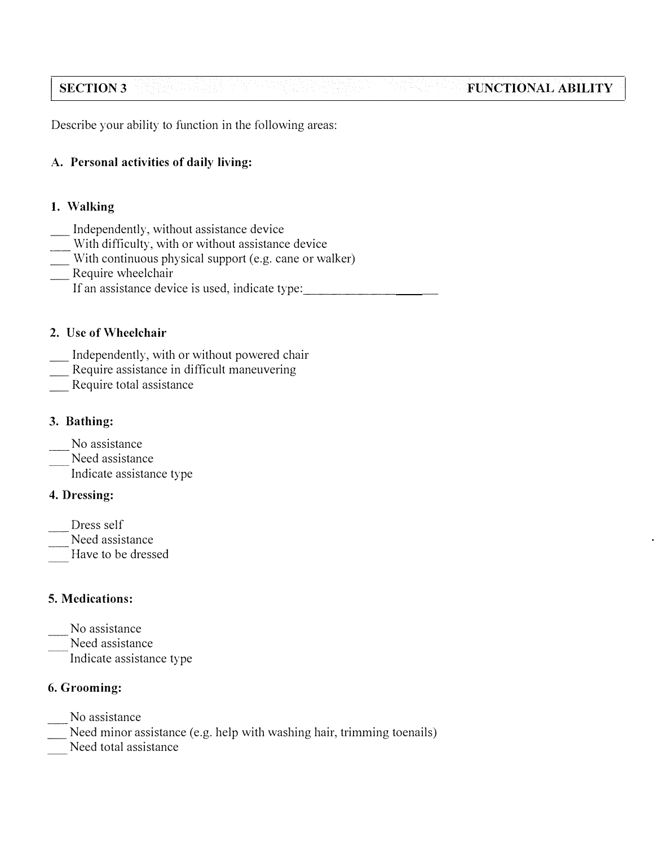#### **SECTION 3 FUNCTIONAL ABILITY**

Describe your ability to function in the following areas:

### **A. Personal activities of daily living:**

### **1. Walking**

- 
- Independently, without assistance device<br>With difficulty, with or without assistance device
- With continuous physical support (e.g. cane or walker)<br>Require wheelchair
- - If an assistance device is used, indicate type:

### **2. Use of Wheelchair**

- Independently, with or without powered chair Require assistance in difficult maneuvering Require total assistance
- 
- 

### **3. Bathing:**

No assistance

Need assistance

Indicate assistance type \_\_\_\_\_\_\_

### **4. Dressing:**

- Dress self
- Need assistance
- Have to be dressed

### **5. Medications:**

- No assistance
- Need assistance Indicate assistance type

### **6. Grooming:**

- No assistance
- Need minor assistance (e.g. help with washing hair, trimming toenails)
- Need total assistance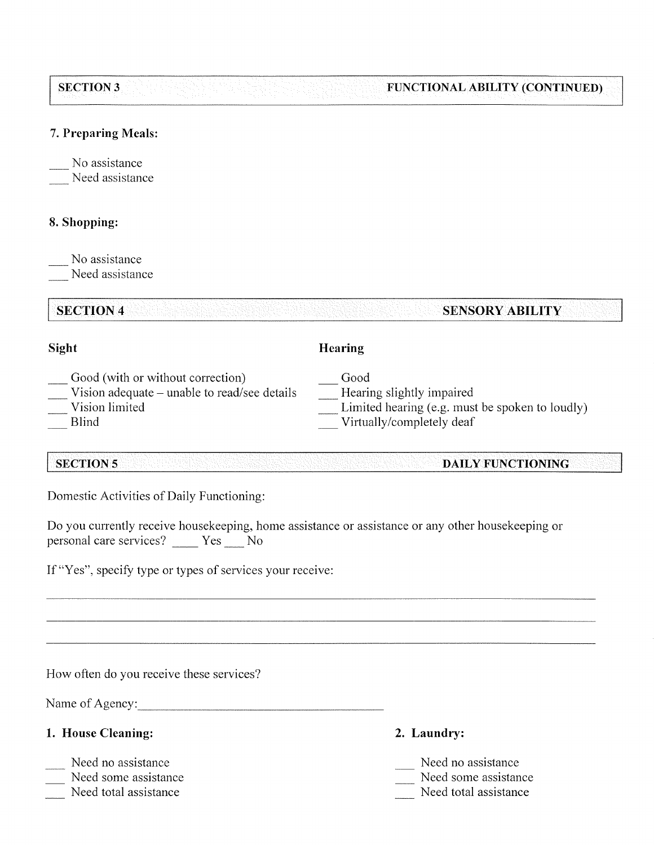| <b>SECTION 3</b> |  |  | <b>FUNCTIONAL ABILITY (CONTINUED)</b> |
|------------------|--|--|---------------------------------------|
|                  |  |  |                                       |
|                  |  |  |                                       |
|                  |  |  |                                       |

#### 7. Preparing Meals:

No assistance

Need assistance

### 8. Shopping:

No assistance

Need assistance

### **SECTION 4**

### Sight

# Hearing

Good

- Good (with or without correction)
- Vision adequate unable to read/see details
- Vision limited
- **Blind**

**SECTION 5** 

### Hearing slightly impaired Limited hearing (e.g. must be spoken to loudly)

- 
- Virtually/completely deaf

#### **DAILY FUNCTIONING**

**SENSORY ABILITY** 

Domestic Activities of Daily Functioning:

Do you currently receive housekeeping, home assistance or assistance or any other housekeeping or personal care services? \_\_\_\_\_ Yes \_\_\_\_ No

If "Yes", specify type or types of services your receive:

How often do you receive these services?

Name of Agency:

### 1. House Cleaning:

- Need no assistance
- Need some assistance
- Need total assistance
- 2. Laundry:
- Need no assistance
- Need some assistance
- Need total assistance